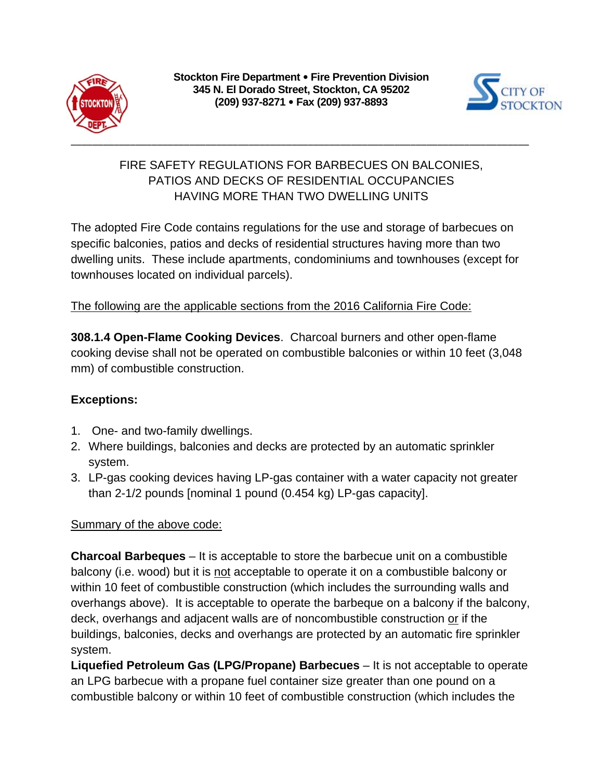



## FIRE SAFETY REGULATIONS FOR BARBECUES ON BALCONIES, PATIOS AND DECKS OF RESIDENTIAL OCCUPANCIES HAVING MORE THAN TWO DWELLING UNITS

The adopted Fire Code contains regulations for the use and storage of barbecues on specific balconies, patios and decks of residential structures having more than two dwelling units. These include apartments, condominiums and townhouses (except for townhouses located on individual parcels).

The following are the applicable sections from the 2016 California Fire Code:

**308.1.4 Open-Flame Cooking Devices**. Charcoal burners and other open-flame cooking devise shall not be operated on combustible balconies or within 10 feet (3,048 mm) of combustible construction.

## **Exceptions:**

- 1. One- and two-family dwellings.
- 2. Where buildings, balconies and decks are protected by an automatic sprinkler system.
- 3. LP-gas cooking devices having LP-gas container with a water capacity not greater than 2-1/2 pounds [nominal 1 pound (0.454 kg) LP-gas capacity].

## Summary of the above code:

**Charcoal Barbeques** – It is acceptable to store the barbecue unit on a combustible balcony (i.e. wood) but it is not acceptable to operate it on a combustible balcony or within 10 feet of combustible construction (which includes the surrounding walls and overhangs above). It is acceptable to operate the barbeque on a balcony if the balcony, deck, overhangs and adjacent walls are of noncombustible construction or if the buildings, balconies, decks and overhangs are protected by an automatic fire sprinkler system.

**Liquefied Petroleum Gas (LPG/Propane) Barbecues** – It is not acceptable to operate an LPG barbecue with a propane fuel container size greater than one pound on a combustible balcony or within 10 feet of combustible construction (which includes the